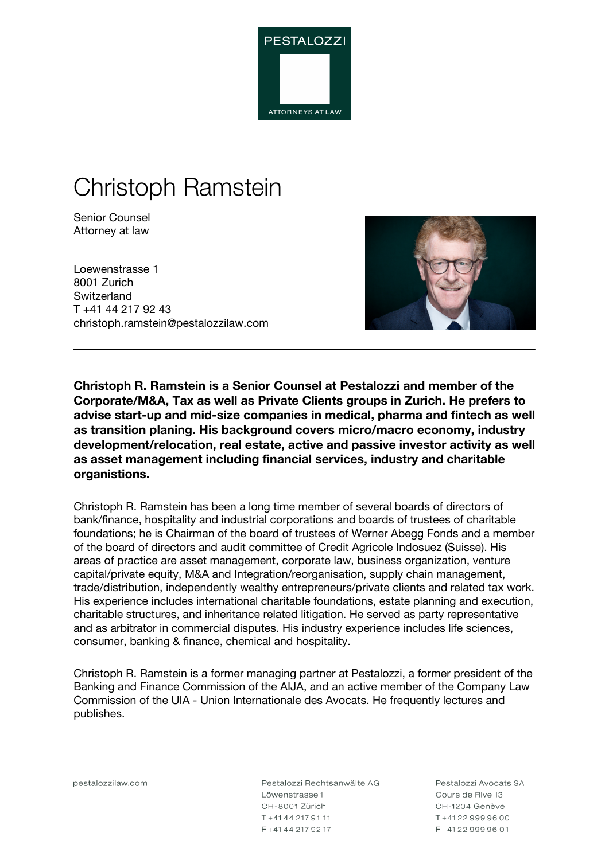

# Christoph Ramstein

Senior Counsel Attorney at law

Loewenstrasse 1 8001 Zurich **Switzerland** T +41 44 217 92 43 christoph.ramstein@pestalozzilaw.com



**Christoph R. Ramstein is a Senior Counsel at Pestalozzi and member of the Corporate/M&A, Tax as well as Private Clients groups in Zurich. He prefers to advise start-up and mid-size companies in medical, pharma and fintech as well as transition planing. His background covers micro/macro economy, industry development/relocation, real estate, active and passive investor activity as well as asset management including financial services, industry and charitable organistions.**

Christoph R. Ramstein has been a long time member of several boards of directors of bank/finance, hospitality and industrial corporations and boards of trustees of charitable foundations; he is Chairman of the board of trustees of Werner Abegg Fonds and a member of the board of directors and audit committee of Credit Agricole Indosuez (Suisse). His areas of practice are asset management, corporate law, business organization, venture capital/private equity, M&A and Integration/reorganisation, supply chain management, trade/distribution, independently wealthy entrepreneurs/private clients and related tax work. His experience includes international charitable foundations, estate planning and execution, charitable structures, and inheritance related litigation. He served as party representative and as arbitrator in commercial disputes. His industry experience includes life sciences, consumer, banking & finance, chemical and hospitality.

Christoph R. Ramstein is a former managing partner at Pestalozzi, a former president of the Banking and Finance Commission of the AIJA, and an active member of the Company Law Commission of the UIA - Union Internationale des Avocats. He frequently lectures and publishes.

pestalozzilaw.com

Pestalozzi Rechtsanwälte AG Löwenstrasse 1 CH-8001 Zürich T+41442179111 F+41442179217

Pestalozzi Avocats SA Cours de Rive 13 CH-1204 Genève T+41229999600 F+41229999601